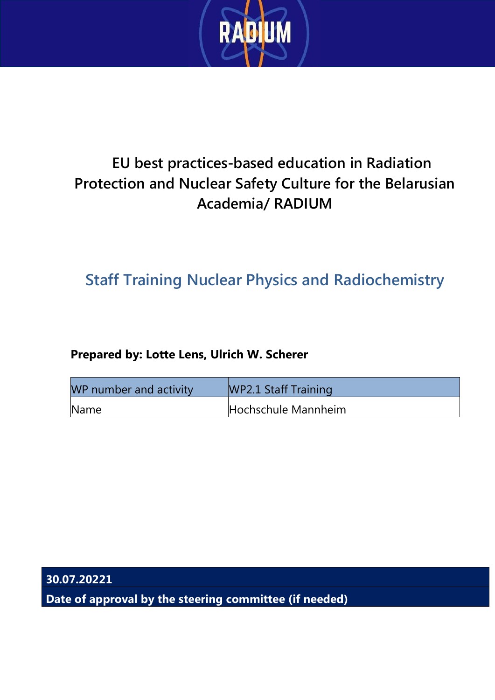

### **EU best practices-based education in Radiation Protection and Nuclear Safety Culture for the Belarusian Academia/ RADIUM**

### **Staff Training Nuclear Physics and Radiochemistry**

#### **Prepared by: Lotte Lens, Ulrich W. Scherer**

| WP number and activity | WP2.1 Staff Training |
|------------------------|----------------------|
| Name                   | Hochschule Mannheim  |

**30.07.20221**

**Date of approval by the steering committee (if needed)**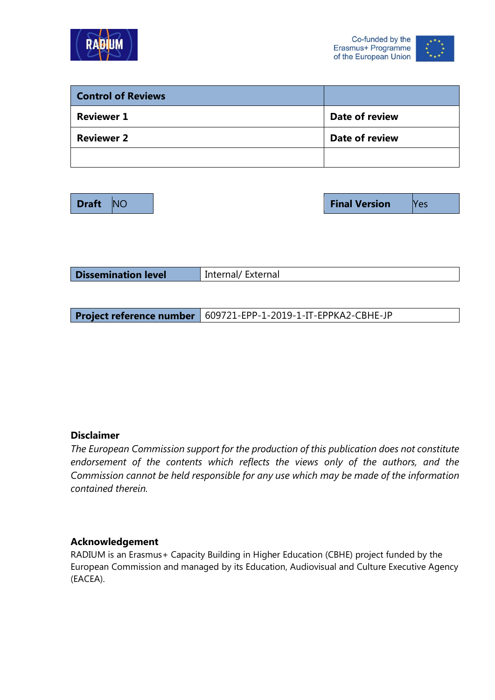



| <b>Control of Reviews</b> |                |
|---------------------------|----------------|
| <b>Reviewer 1</b>         | Date of review |
| <b>Reviewer 2</b>         | Date of review |
|                           |                |

**Draft NO Final Version Properties** 

|  | <b>Dissemination level</b> | Internal/External |
|--|----------------------------|-------------------|
|--|----------------------------|-------------------|

**Project reference number** 609721-EPP-1-2019-1-IT-EPPKA2-CBHE-JP

#### **Disclaimer**

*The European Commission support for the production of this publication does not constitute endorsement of the contents which reflects the views only of the authors, and the Commission cannot be held responsible for any use which may be made of the information contained therein.*

#### **Acknowledgement**

RADIUM is an Erasmus+ Capacity Building in Higher Education (CBHE) project funded by the European Commission and managed by its Education, Audiovisual and Culture Executive Agency (EACEA).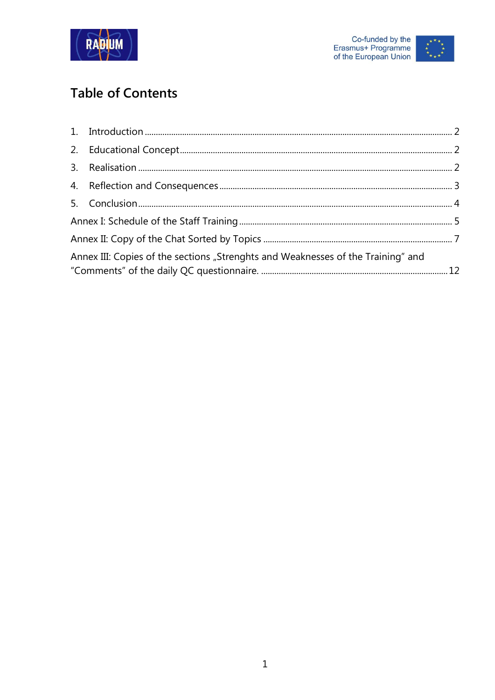



### **Table of Contents**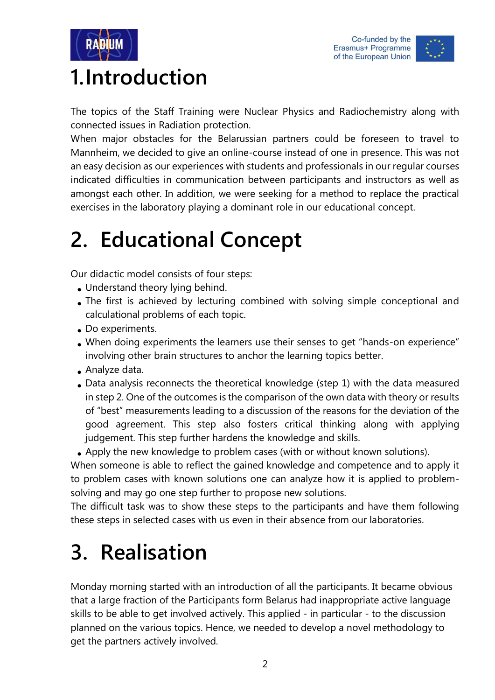



### <span id="page-3-0"></span>**1.Introduction**

The topics of the Staff Training were Nuclear Physics and Radiochemistry along with connected issues in Radiation protection.

When major obstacles for the Belarussian partners could be foreseen to travel to Mannheim, we decided to give an online-course instead of one in presence. This was not an easy decision as our experiences with students and professionals in our regular courses indicated difficulties in communication between participants and instructors as well as amongst each other. In addition, we were seeking for a method to replace the practical exercises in the laboratory playing a dominant role in our educational concept.

## <span id="page-3-1"></span>**2. Educational Concept**

Our didactic model consists of four steps:

- Understand theory lying behind.
- The first is achieved by lecturing combined with solving simple conceptional and calculational problems of each topic.
- Do experiments.
- When doing experiments the learners use their senses to get "hands-on experience" involving other brain structures to anchor the learning topics better.
- Analyze data.
- Data analysis reconnects the theoretical knowledge (step 1) with the data measured in step 2. One of the outcomes is the comparison of the own data with theory or results of "best" measurements leading to a discussion of the reasons for the deviation of the good agreement. This step also fosters critical thinking along with applying judgement. This step further hardens the knowledge and skills.

• Apply the new knowledge to problem cases (with or without known solutions).

When someone is able to reflect the gained knowledge and competence and to apply it to problem cases with known solutions one can analyze how it is applied to problemsolving and may go one step further to propose new solutions.

The difficult task was to show these steps to the participants and have them following these steps in selected cases with us even in their absence from our laboratories.

## <span id="page-3-2"></span>**3. Realisation**

Monday morning started with an introduction of all the participants. It became obvious that a large fraction of the Participants form Belarus had inappropriate active language skills to be able to get involved actively. This applied - in particular - to the discussion planned on the various topics. Hence, we needed to develop a novel methodology to get the partners actively involved.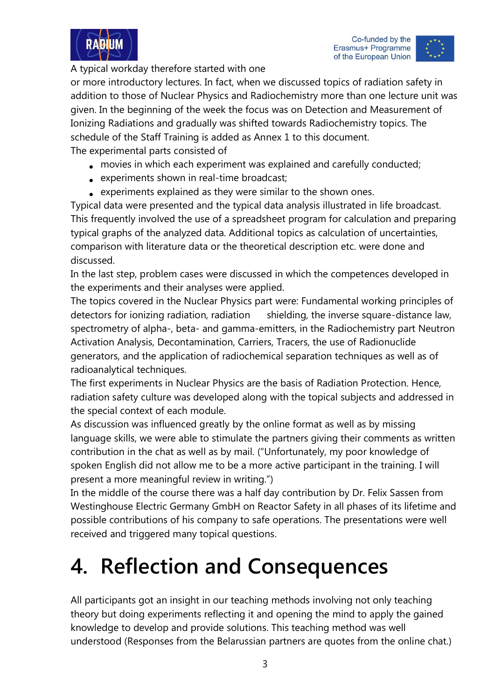



A typical workday therefore started with one

or more introductory lectures. In fact, when we discussed topics of radiation safety in addition to those of Nuclear Physics and Radiochemistry more than one lecture unit was given. In the beginning of the week the focus was on Detection and Measurement of Ionizing Radiations and gradually was shifted towards Radiochemistry topics. The schedule of the Staff Training is added as Annex 1 to this document. The experimental parts consisted of

- movies in which each experiment was explained and carefully conducted;
- experiments shown in real-time broadcast;
- experiments explained as they were similar to the shown ones.

Typical data were presented and the typical data analysis illustrated in life broadcast. This frequently involved the use of a spreadsheet program for calculation and preparing typical graphs of the analyzed data. Additional topics as calculation of uncertainties, comparison with literature data or the theoretical description etc. were done and discussed.

In the last step, problem cases were discussed in which the competences developed in the experiments and their analyses were applied.

The topics covered in the Nuclear Physics part were: Fundamental working principles of detectors for ionizing radiation, radiation shielding, the inverse square-distance law, spectrometry of alpha-, beta- and gamma-emitters, in the Radiochemistry part Neutron Activation Analysis, Decontamination, Carriers, Tracers, the use of Radionuclide generators, and the application of radiochemical separation techniques as well as of radioanalytical techniques.

The first experiments in Nuclear Physics are the basis of Radiation Protection. Hence, radiation safety culture was developed along with the topical subjects and addressed in the special context of each module.

As discussion was influenced greatly by the online format as well as by missing language skills, we were able to stimulate the partners giving their comments as written contribution in the chat as well as by mail. ("Unfortunately, my poor knowledge of spoken English did not allow me to be a more active participant in the training. I will present a more meaningful review in writing.")

In the middle of the course there was a half day contribution by Dr. Felix Sassen from Westinghouse Electric Germany GmbH on Reactor Safety in all phases of its lifetime and possible contributions of his company to safe operations. The presentations were well received and triggered many topical questions.

# <span id="page-4-0"></span>**4. Reflection and Consequences**

All participants got an insight in our teaching methods involving not only teaching theory but doing experiments reflecting it and opening the mind to apply the gained knowledge to develop and provide solutions. This teaching method was well understood (Responses from the Belarussian partners are quotes from the online chat.)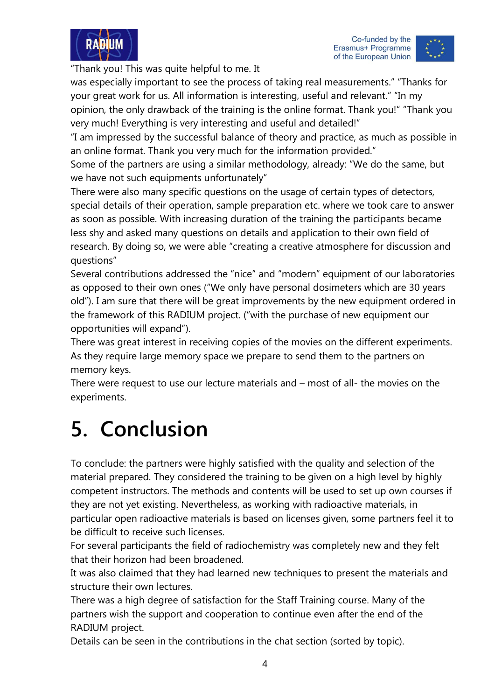



"Thank you! This was quite helpful to me. It

was especially important to see the process of taking real measurements." "Thanks for your great work for us. All information is interesting, useful and relevant." "In my opinion, the only drawback of the training is the online format. Thank you!" "Thank you

very much! Everything is very interesting and useful and detailed!"

"I am impressed by the successful balance of theory and practice, as much as possible in an online format. Thank you very much for the information provided."

Some of the partners are using a similar methodology, already: "We do the same, but we have not such equipments unfortunately"

There were also many specific questions on the usage of certain types of detectors, special details of their operation, sample preparation etc. where we took care to answer as soon as possible. With increasing duration of the training the participants became less shy and asked many questions on details and application to their own field of research. By doing so, we were able "creating a creative atmosphere for discussion and questions"

Several contributions addressed the "nice" and "modern" equipment of our laboratories as opposed to their own ones ("We only have personal dosimeters which are 30 years old"). I am sure that there will be great improvements by the new equipment ordered in the framework of this RADIUM project. ("with the purchase of new equipment our opportunities will expand").

There was great interest in receiving copies of the movies on the different experiments. As they require large memory space we prepare to send them to the partners on memory keys.

There were request to use our lecture materials and – most of all- the movies on the experiments.

## <span id="page-5-0"></span>**5. Conclusion**

To conclude: the partners were highly satisfied with the quality and selection of the material prepared. They considered the training to be given on a high level by highly competent instructors. The methods and contents will be used to set up own courses if they are not yet existing. Nevertheless, as working with radioactive materials, in particular open radioactive materials is based on licenses given, some partners feel it to be difficult to receive such licenses.

For several participants the field of radiochemistry was completely new and they felt that their horizon had been broadened.

It was also claimed that they had learned new techniques to present the materials and structure their own lectures.

There was a high degree of satisfaction for the Staff Training course. Many of the partners wish the support and cooperation to continue even after the end of the RADIUM project.

Details can be seen in the contributions in the chat section (sorted by topic).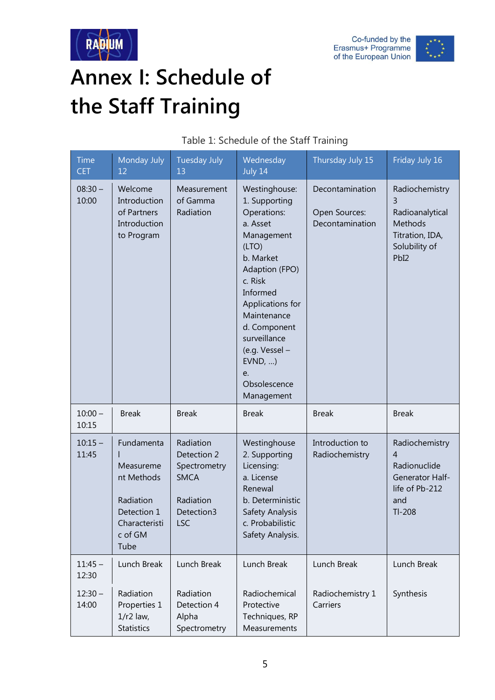



# <span id="page-6-0"></span>**Annex I: Schedule of the Staff Training**

| <b>Time</b><br><b>CET</b> | Monday July<br>12                                                                                     | <b>Tuesday July</b><br>13                                                                 | Wednesday<br>July 14                                                                                                                                                                                                                                                     | Thursday July 15                                    | Friday July 16                                                                                                  |
|---------------------------|-------------------------------------------------------------------------------------------------------|-------------------------------------------------------------------------------------------|--------------------------------------------------------------------------------------------------------------------------------------------------------------------------------------------------------------------------------------------------------------------------|-----------------------------------------------------|-----------------------------------------------------------------------------------------------------------------|
| $08:30 -$<br>10:00        | Welcome<br>Introduction<br>of Partners<br>Introduction<br>to Program                                  | Measurement<br>of Gamma<br>Radiation                                                      | Westinghouse:<br>1. Supporting<br>Operations:<br>a. Asset<br>Management<br>(LTO)<br>b. Market<br>Adaption (FPO)<br>c. Risk<br>Informed<br>Applications for<br>Maintenance<br>d. Component<br>surveillance<br>(e.g. Vessel -<br>EVND,<br>e.<br>Obsolescence<br>Management | Decontamination<br>Open Sources:<br>Decontamination | Radiochemistry<br>3<br>Radioanalytical<br>Methods<br>Titration, IDA,<br>Solubility of<br>PbI <sub>2</sub>       |
| $10:00 -$<br>10:15        | <b>Break</b>                                                                                          | <b>Break</b>                                                                              | <b>Break</b>                                                                                                                                                                                                                                                             | <b>Break</b>                                        | <b>Break</b>                                                                                                    |
| $10:15 -$<br>11:45        | Fundamenta<br>Measureme<br>nt Methods<br>Radiation<br>Detection 1<br>Characteristi<br>c of GM<br>Tube | Radiation<br>Detection 2<br>Spectrometry<br><b>SMCA</b><br>Radiation<br>Detection3<br>ISC | Westinghouse<br>2. Supporting<br>Licensing:<br>a. License<br>Renewal<br>b. Deterministic<br>Safety Analysis<br>c. Probabilistic<br>Safety Analysis.                                                                                                                      | Introduction to<br>Radiochemistry                   | Radiochemistry<br>$\overline{4}$<br>Radionuclide<br><b>Generator Half-</b><br>life of Pb-212<br>and<br>$TI-208$ |
| $11:45 -$<br>12:30        | Lunch Break                                                                                           | Lunch Break                                                                               | Lunch Break                                                                                                                                                                                                                                                              | Lunch Break                                         | Lunch Break                                                                                                     |
| $12:30 -$<br>14:00        | Radiation<br>Properties 1<br>$1/r2$ law,<br><b>Statistics</b>                                         | Radiation<br>Detection 4<br>Alpha<br>Spectrometry                                         | Radiochemical<br>Protective<br>Techniques, RP<br>Measurements                                                                                                                                                                                                            | Radiochemistry 1<br>Carriers                        | Synthesis                                                                                                       |

#### Table 1: Schedule of the Staff Training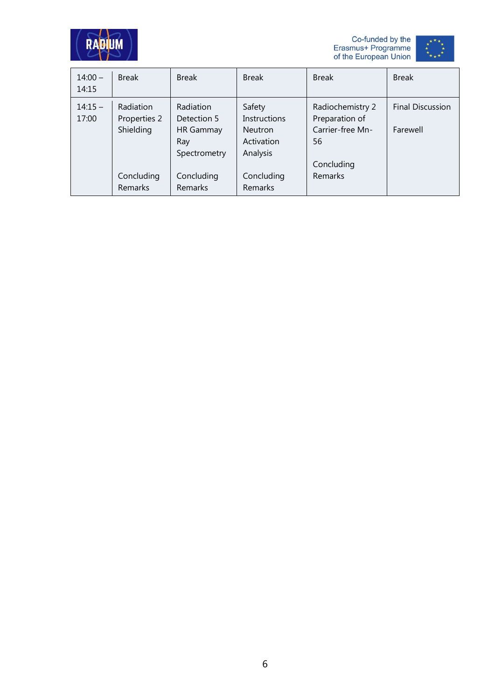





| $14:00 -$<br>14:15 | <b>Break</b>                                                           | <b>Break</b>                                                                                 | <b>Break</b>                                                                                | <b>Break</b>                                                                                 | <b>Break</b>                        |
|--------------------|------------------------------------------------------------------------|----------------------------------------------------------------------------------------------|---------------------------------------------------------------------------------------------|----------------------------------------------------------------------------------------------|-------------------------------------|
| $14:15 -$<br>17:00 | <b>Radiation</b><br>Properties 2<br>Shielding<br>Concluding<br>Remarks | Radiation<br>Detection 5<br><b>HR Gammay</b><br>Ray<br>Spectrometry<br>Concluding<br>Remarks | Safety<br><b>Instructions</b><br>Neutron<br>Activation<br>Analysis<br>Concluding<br>Remarks | Radiochemistry 2<br>Preparation of<br>Carrier-free Mn-<br>56<br>Concluding<br><b>Remarks</b> | <b>Final Discussion</b><br>Farewell |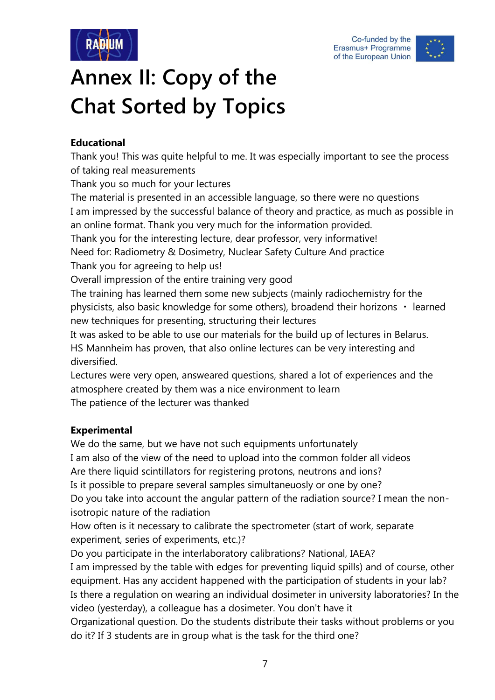



# <span id="page-8-0"></span>**Annex II: Copy of the Chat Sorted by Topics**

#### **Educational**

Thank you! This was quite helpful to me. It was especially important to see the process of taking real measurements

Thank you so much for your lectures

The material is presented in an accessible language, so there were no questions I am impressed by the successful balance of theory and practice, as much as possible in an online format. Thank you very much for the information provided. Thank you for the interesting lecture, dear professor, very informative!

Need for: Radiometry & Dosimetry, Nuclear Safety Culture And practice Thank you for agreeing to help us!

Overall impression of the entire training very good

The training has learned them some new subjects (mainly radiochemistry for the physicists, also basic knowledge for some others), broadend their horizons  $\cdot$  learned new techniques for presenting, structuring their lectures

It was asked to be able to use our materials for the build up of lectures in Belarus. HS Mannheim has proven, that also online lectures can be very interesting and diversified.

Lectures were very open, answeared questions, shared a lot of experiences and the atmosphere created by them was a nice environment to learn The patience of the lecturer was thanked

#### **Experimental**

We do the same, but we have not such equipments unfortunately I am also of the view of the need to upload into the common folder all videos Are there liquid scintillators for registering protons, neutrons and ions? Is it possible to prepare several samples simultaneuosly or one by one? Do you take into account the angular pattern of the radiation source? I mean the nonisotropic nature of the radiation

How often is it necessary to calibrate the spectrometer (start of work, separate experiment, series of experiments, etc.)?

Do you participate in the interlaboratory calibrations? National, IAEA? I am impressed by the table with edges for preventing liquid spills) and of course, other equipment. Has any accident happened with the participation of students in your lab? Is there a regulation on wearing an individual dosimeter in university laboratories? In the video (yesterday), a colleague has a dosimeter. You don't have it

Organizational question. Do the students distribute their tasks without problems or you do it? If 3 students are in group what is the task for the third one?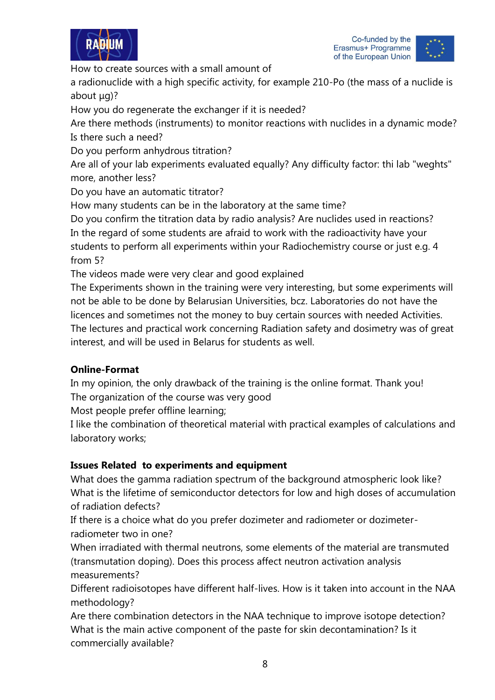



How to create sources with a small amount of

a radionuclide with a high specific activity, for example 210-Po (the mass of a nuclide is about μg)?

How you do regenerate the exchanger if it is needed?

Are there methods (instruments) to monitor reactions with nuclides in a dynamic mode? Is there such a need?

Do you perform anhydrous titration?

Are all of your lab experiments evaluated equally? Any difficulty factor: thi lab "weghts" more, another less?

Do you have an automatic titrator?

How many students can be in the laboratory at the same time?

Do you confirm the titration data by radio analysis? Are nuclides used in reactions? In the regard of some students are afraid to work with the radioactivity have your students to perform all experiments within your Radiochemistry course or just e.g. 4 from 5?

The videos made were very clear and good explained

The Experiments shown in the training were very interesting, but some experiments will not be able to be done by Belarusian Universities, bcz. Laboratories do not have the licences and sometimes not the money to buy certain sources with needed Activities. The lectures and practical work concerning Radiation safety and dosimetry was of great interest, and will be used in Belarus for students as well.

#### **Online-Format**

In my opinion, the only drawback of the training is the online format. Thank you! The organization of the course was very good

Most people prefer offline learning;

I like the combination of theoretical material with practical examples of calculations and laboratory works;

#### **Issues Related to experiments and equipment**

What does the gamma radiation spectrum of the background atmospheric look like? What is the lifetime of semiconductor detectors for low and high doses of accumulation of radiation defects?

If there is a choice what do you prefer dozimeter and radiometer or dozimeterradiometer two in one?

When irradiated with thermal neutrons, some elements of the material are transmuted (transmutation doping). Does this process affect neutron activation analysis measurements?

Different radioisotopes have different half-lives. How is it taken into account in the NAA methodology?

Are there combination detectors in the NAA technique to improve isotope detection? What is the main active component of the paste for skin decontamination? Is it commercially available?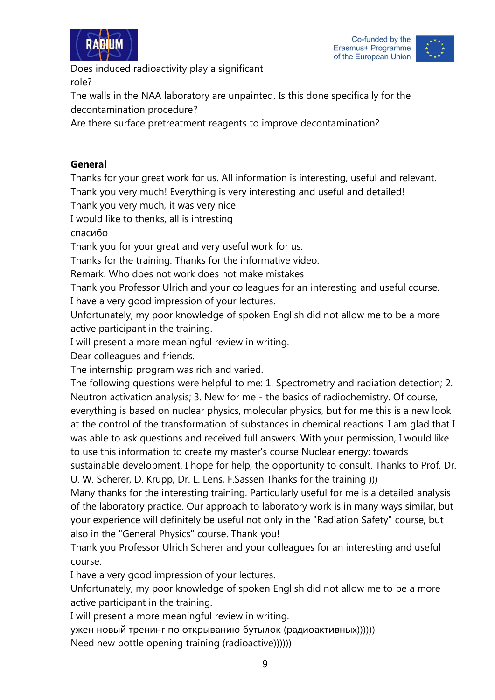



Does induced radioactivity play a significant role?

The walls in the NAA laboratory are unpainted. Is this done specifically for the decontamination procedure?

Are there surface pretreatment reagents to improve decontamination?

#### **General**

Thanks for your great work for us. All information is interesting, useful and relevant. Thank you very much! Everything is very interesting and useful and detailed!

Thank you very much, it was very nice

I would like to thenks, all is intresting

спасибо

Thank you for your great and very useful work for us.

Thanks for the training. Thanks for the informative video.

Remark. Who does not work does not make mistakes

Thank you Professor Ulrich and your colleagues for an interesting and useful course. I have a very good impression of your lectures.

Unfortunately, my poor knowledge of spoken English did not allow me to be a more active participant in the training.

I will present a more meaningful review in writing.

Dear colleagues and friends.

The internship program was rich and varied.

The following questions were helpful to me: 1. Spectrometry and radiation detection; 2. Neutron activation analysis; 3. New for me - the basics of radiochemistry. Of course, everything is based on nuclear physics, molecular physics, but for me this is a new look at the control of the transformation of substances in chemical reactions. I am glad that I was able to ask questions and received full answers. With your permission, I would like to use this information to create my master's course Nuclear energy: towards

sustainable development. I hope for help, the opportunity to consult. Thanks to Prof. Dr. U. W. Scherer, D. Krupp, Dr. L. Lens, F.Sassen Thanks for the training )))

Many thanks for the interesting training. Particularly useful for me is a detailed analysis of the laboratory practice. Our approach to laboratory work is in many ways similar, but your experience will definitely be useful not only in the "Radiation Safety" course, but also in the "General Physics" course. Thank you!

Thank you Professor Ulrich Scherer and your colleagues for an interesting and useful course.

I have a very good impression of your lectures.

Unfortunately, my poor knowledge of spoken English did not allow me to be a more active participant in the training.

I will present a more meaningful review in writing.

ужен новый тренинг по открыванию бутылок (радиоактивных)))))) Need new bottle opening training (radioactive))))))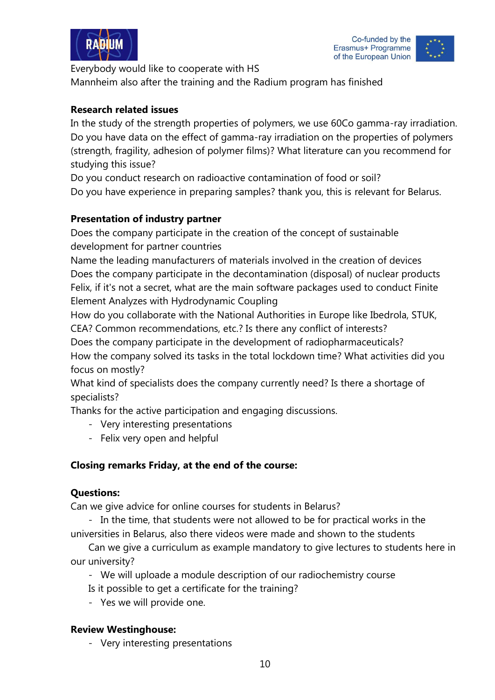



Everybody would like to cooperate with HS Mannheim also after the training and the Radium program has finished

#### **Research related issues**

In the study of the strength properties of polymers, we use 60Co gamma-ray irradiation. Do you have data on the effect of gamma-ray irradiation on the properties of polymers (strength, fragility, adhesion of polymer films)? What literature can you recommend for studying this issue?

Do you conduct research on radioactive contamination of food or soil? Do you have experience in preparing samples? thank you, this is relevant for Belarus.

#### **Presentation of industry partner**

Does the company participate in the creation of the concept of sustainable development for partner countries

Name the leading manufacturers of materials involved in the creation of devices Does the company participate in the decontamination (disposal) of nuclear products Felix, if it's not a secret, what are the main software packages used to conduct Finite Element Analyzes with Hydrodynamic Coupling

How do you collaborate with the National Authorities in Europe like Ibedrola, STUK, CEA? Common recommendations, etc.? Is there any conflict of interests?

Does the company participate in the development of radiopharmaceuticals? How the company solved its tasks in the total lockdown time? What activities did you

focus on mostly?

What kind of specialists does the company currently need? Is there a shortage of specialists?

Thanks for the active participation and engaging discussions.

- Very interesting presentations
- Felix very open and helpful

#### **Closing remarks Friday, at the end of the course:**

#### **Questions:**

Can we give advice for online courses for students in Belarus?

- In the time, that students were not allowed to be for practical works in the universities in Belarus, also there videos were made and shown to the students

Can we give a curriculum as example mandatory to give lectures to students here in our university?

- We will uploade a module description of our radiochemistry course
- Is it possible to get a certificate for the training?
- Yes we will provide one.

#### **Review Westinghouse:**

- Very interesting presentations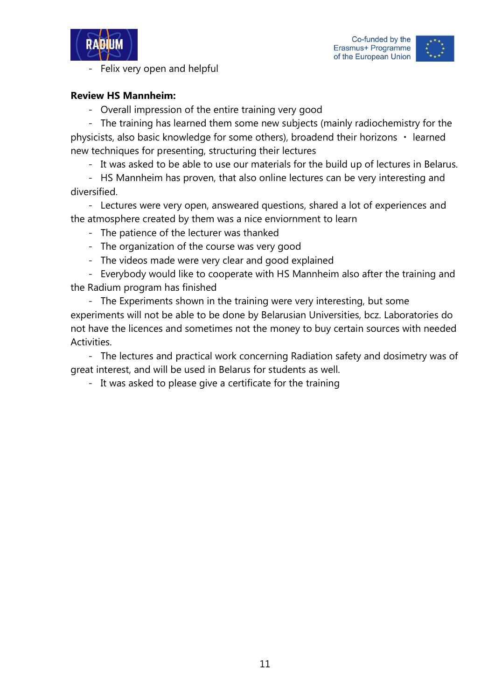



#### - Felix very open and helpful

#### **Review HS Mannheim:**

- Overall impression of the entire training very good

- The training has learned them some new subjects (mainly radiochemistry for the physicists, also basic knowledge for some others), broadend their horizons  $\cdot$  learned new techniques for presenting, structuring their lectures

- It was asked to be able to use our materials for the build up of lectures in Belarus.

- HS Mannheim has proven, that also online lectures can be very interesting and diversified.

- Lectures were very open, answeared questions, shared a lot of experiences and the atmosphere created by them was a nice enviornment to learn

- The patience of the lecturer was thanked
- The organization of the course was very good
- The videos made were very clear and good explained

- Everybody would like to cooperate with HS Mannheim also after the training and the Radium program has finished

- The Experiments shown in the training were very interesting, but some experiments will not be able to be done by Belarusian Universities, bcz. Laboratories do not have the licences and sometimes not the money to buy certain sources with needed Activities.

- The lectures and practical work concerning Radiation safety and dosimetry was of great interest, and will be used in Belarus for students as well.

- It was asked to please give a certificate for the training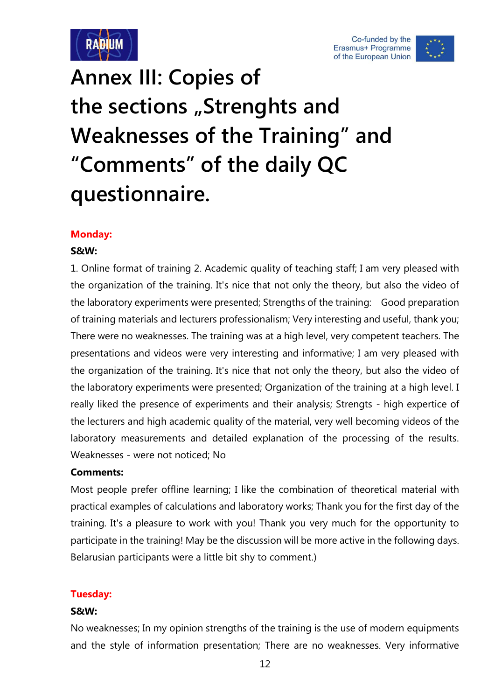



# <span id="page-13-0"></span>**Annex III: Copies of**  the sections "Strenghts and **Weaknesses of the Training" and "Comments" of the daily QC questionnaire.**

#### **Monday:**

#### **S&W:**

1. Online format of training 2. Academic quality of teaching staff; I am very pleased with the organization of the training. It's nice that not only the theory, but also the video of the laboratory experiments were presented; Strengths of the training: Good preparation of training materials and lecturers professionalism; Very interesting and useful, thank you; There were no weaknesses. The training was at a high level, very competent teachers. The presentations and videos were very interesting and informative; I am very pleased with the organization of the training. It's nice that not only the theory, but also the video of the laboratory experiments were presented; Organization of the training at a high level. I really liked the presence of experiments and their analysis; Strengts - high expertice of the lecturers and high academic quality of the material, very well becoming videos of the laboratory measurements and detailed explanation of the processing of the results. Weaknesses - were not noticed; No

#### **Comments:**

Most people prefer offline learning; I like the combination of theoretical material with practical examples of calculations and laboratory works; Thank you for the first day of the training. It's a pleasure to work with you! Thank you very much for the opportunity to participate in the training! May be the discussion will be more active in the following days. Belarusian participants were a little bit shy to comment.)

#### **Tuesday:**

#### **S&W:**

No weaknesses; In my opinion strengths of the training is the use of modern equipments and the style of information presentation; There are no weaknesses. Very informative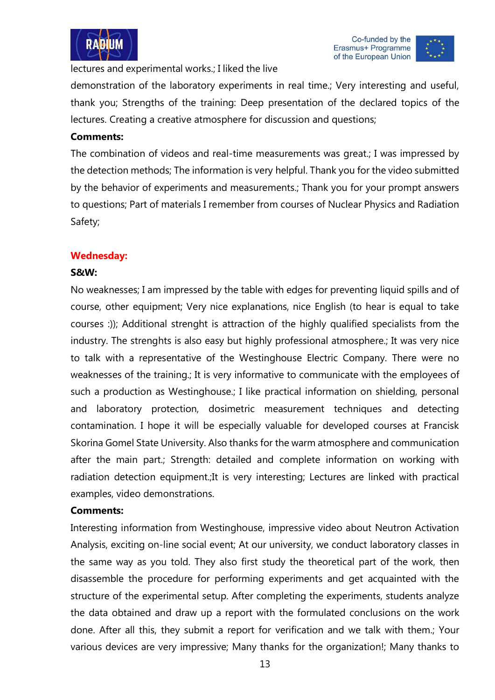



lectures and experimental works.; I liked the live

demonstration of the laboratory experiments in real time.; Very interesting and useful, thank you; Strengths of the training: Deep presentation of the declared topics of the lectures. Creating a creative atmosphere for discussion and questions;

#### **Comments:**

The combination of videos and real-time measurements was great.; I was impressed by the detection methods; The information is very helpful. Thank you for the video submitted by the behavior of experiments and measurements.; Thank you for your prompt answers to questions; Part of materials I remember from courses of Nuclear Physics and Radiation Safety;

#### **Wednesday:**

#### **S&W:**

No weaknesses; I am impressed by the table with edges for preventing liquid spills and of course, other equipment; Very nice explanations, nice English (to hear is equal to take courses :)); Additional strenght is attraction of the highly qualified specialists from the industry. The strenghts is also easy but highly professional atmosphere.; It was very nice to talk with a representative of the Westinghouse Electric Company. There were no weaknesses of the training.; It is very informative to communicate with the employees of such a production as Westinghouse.; I like practical information on shielding, personal and laboratory protection, dosimetric measurement techniques and detecting contamination. I hope it will be especially valuable for developed courses at Francisk Skorina Gomel State University. Also thanks for the warm atmosphere and communication after the main part.; Strength: detailed and complete information on working with radiation detection equipment.;It is very interesting; Lectures are linked with practical examples, video demonstrations.

#### **Comments:**

Interesting information from Westinghouse, impressive video about Neutron Activation Analysis, exciting on-line social event; At our university, we conduct laboratory classes in the same way as you told. They also first study the theoretical part of the work, then disassemble the procedure for performing experiments and get acquainted with the structure of the experimental setup. After completing the experiments, students analyze the data obtained and draw up a report with the formulated conclusions on the work done. After all this, they submit a report for verification and we talk with them.; Your various devices are very impressive; Many thanks for the organization!; Many thanks to